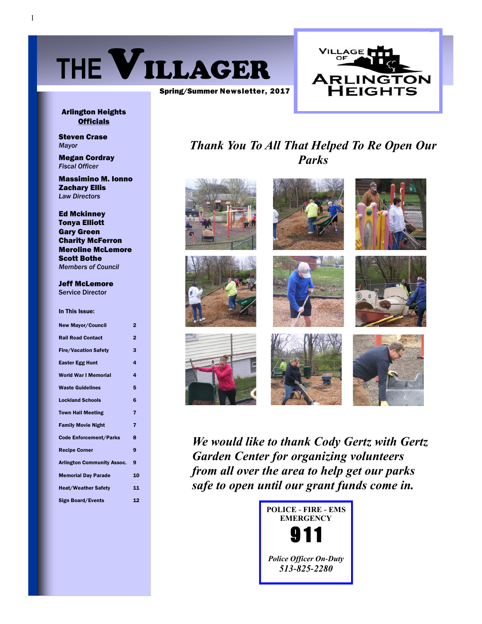



#### Arlington Heights **Officials**

Steven Crase *Mayor*

Megan Cordray *Fiscal Officer*

Massimino M. Ionno Zachary Ellis *Law Directors*

Ed Mckinney Tonya Elliott Gary Green Charity McFerron Meroline McLemore Scott Bothe *Members of Council*

Jeff McLemore Service Director

In This Issue:

| <b>New Mayor/Council</b>          | $\overline{2}$ |
|-----------------------------------|----------------|
| <b>Rail Road Contact</b>          | $\overline{2}$ |
| <b>Fire/Vacation Safety</b>       | 3              |
| <b>Easter Egg Hunt</b>            | 4              |
| <b>World War I Memorial</b>       | 4              |
| <b>Waste Guidelines</b>           | 5              |
| <b>Lockland Schools</b>           | 6              |
| <b>Town Hall Meeting</b>          | 7              |
| <b>Family Movie Night</b>         | 7              |
| <b>Code Enforcement/Parks</b>     | 8              |
| <b>Recipe Corner</b>              | 9              |
| <b>Arlington Community Assoc.</b> | 9              |
| <b>Memorial Day Parade</b>        | 10             |
| <b>Heat/Weather Safety</b>        | 11             |
| <b>Sign Board/Events</b>          | 12             |

# *Thank You To All That Helped To Re Open Our Parks*



*We would like to thank Cody Gertz with Gertz Garden Center for organizing volunteers from all over the area to help get our parks safe to open until our grant funds come in.* 

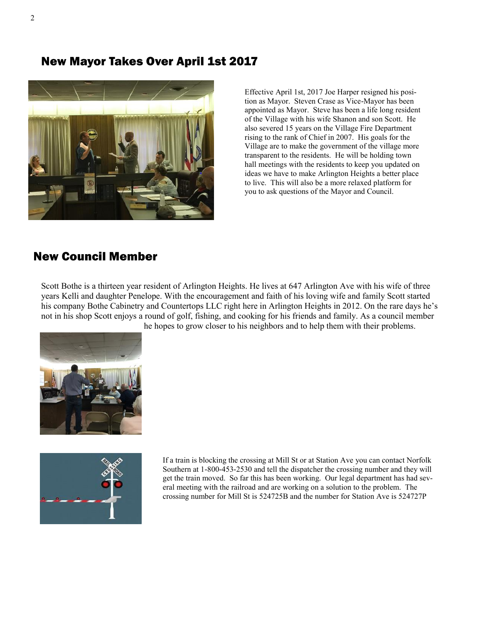New Mayor Takes Over April 1st 2017



Effective April 1st, 2017 Joe Harper resigned his position as Mayor. Steven Crase as Vice-Mayor has been appointed as Mayor. Steve has been a life long resident of the Village with his wife Shanon and son Scott. He also severed 15 years on the Village Fire Department rising to the rank of Chief in 2007. His goals for the Village are to make the government of the village more transparent to the residents. He will be holding town hall meetings with the residents to keep you updated on ideas we have to make Arlington Heights a better place to live. This will also be a more relaxed platform for you to ask questions of the Mayor and Council.

### New Council Member

Scott Bothe is a thirteen year resident of Arlington Heights. He lives at 647 Arlington Ave with his wife of three years Kelli and daughter Penelope. With the encouragement and faith of his loving wife and family Scott started his company Bothe Cabinetry and Countertops LLC right here in Arlington Heights in 2012. On the rare days he's not in his shop Scott enjoys a round of golf, fishing, and cooking for his friends and family. As a council member he hopes to grow closer to his neighbors and to help them with their problems.





If a train is blocking the crossing at Mill St or at Station Ave you can contact Norfolk Southern at 1-800-453-2530 and tell the dispatcher the crossing number and they will get the train moved. So far this has been working. Our legal department has had several meeting with the railroad and are working on a solution to the problem. The crossing number for Mill St is 524725B and the number for Station Ave is 524727P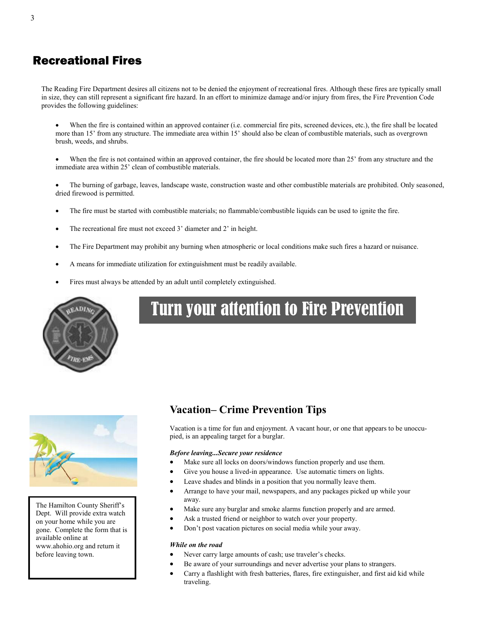### Recreational Fires

The Reading Fire Department desires all citizens not to be denied the enjoyment of recreational fires. Although these fires are typically small in size, they can still represent a significant fire hazard. In an effort to minimize damage and/or injury from fires, the Fire Prevention Code provides the following guidelines:

- When the fire is contained within an approved container (i.e. commercial fire pits, screened devices, etc.), the fire shall be located more than 15' from any structure. The immediate area within 15' should also be clean of combustible materials, such as overgrown brush, weeds, and shrubs.
- When the fire is not contained within an approved container, the fire should be located more than 25' from any structure and the immediate area within 25' clean of combustible materials.
- The burning of garbage, leaves, landscape waste, construction waste and other combustible materials are prohibited. Only seasoned, dried firewood is permitted.
- The fire must be started with combustible materials; no flammable/combustible liquids can be used to ignite the fire.
- The recreational fire must not exceed 3' diameter and 2' in height.
- The Fire Department may prohibit any burning when atmospheric or local conditions make such fires a hazard or nuisance.
- A means for immediate utilization for extinguishment must be readily available.
- Fires must always be attended by an adult until completely extinguished.



# Turn your attention to Fire Prevention



The Hamilton County Sheriff's Dept. Will provide extra watch on your home while you are gone. Complete the form that is available online at www.ahohio.org and return it before leaving town.

#### **Vacation– Crime Prevention Tips**

Vacation is a time for fun and enjoyment. A vacant hour, or one that appears to be unoccupied, is an appealing target for a burglar.

#### *Before leaving...Secure your residence*

- Make sure all locks on doors/windows function properly and use them.
- Give you house a lived-in appearance. Use automatic timers on lights.
- Leave shades and blinds in a position that you normally leave them.
- Arrange to have your mail, newspapers, and any packages picked up while your away.
- Make sure any burglar and smoke alarms function properly and are armed.
- Ask a trusted friend or neighbor to watch over your property.
- Don't post vacation pictures on social media while your away.

#### *While on the road*

- Never carry large amounts of cash; use traveler's checks.
- Be aware of your surroundings and never advertise your plans to strangers.
- Carry a flashlight with fresh batteries, flares, fire extinguisher, and first aid kid while traveling.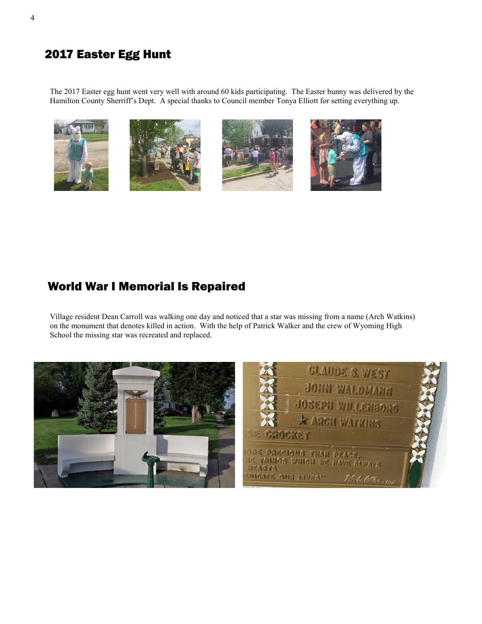# 2017 Easter Egg Hunt

The 2017 Easter egg hunt went very well with around 60 kids participating. The Easter bunny was delivered by the Hamilton County Sherriff's Dept. A special thanks to Council member Tonya Elliott for setting everything up.









# World War I Memorial Is Repaired

Village resident Dean Carroll was walking one day and noticed that a star was missing from a name (Arch Watkins) on the monument that denotes killed in action. With the help of Patrick Walker and the crew of Wyoming High School the missing star was recreated and replaced.

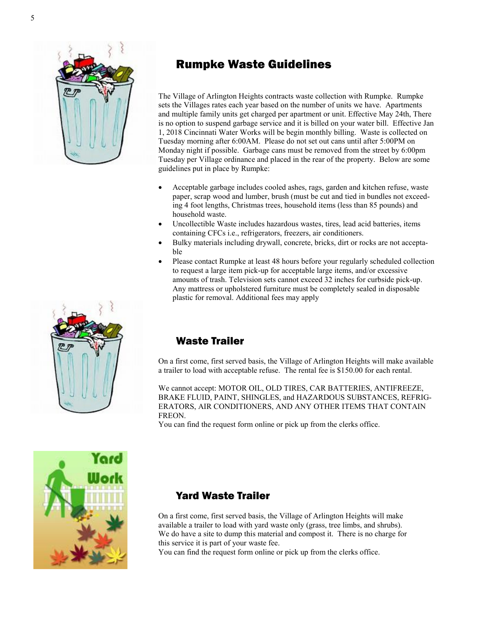

# Rumpke Waste Guidelines

The Village of Arlington Heights contracts waste collection with Rumpke. Rumpke sets the Villages rates each year based on the number of units we have. Apartments and multiple family units get charged per apartment or unit. Effective May 24th, There is no option to suspend garbage service and it is billed on your water bill. Effective Jan 1, 2018 Cincinnati Water Works will be begin monthly billing. Waste is collected on Tuesday morning after 6:00AM. Please do not set out cans until after 5:00PM on Monday night if possible. Garbage cans must be removed from the street by 6:00pm Tuesday per Village ordinance and placed in the rear of the property. Below are some guidelines put in place by Rumpke:

- Acceptable garbage includes cooled ashes, rags, garden and kitchen refuse, waste paper, scrap wood and lumber, brush (must be cut and tied in bundles not exceeding 4 foot lengths, Christmas trees, household items (less than 85 pounds) and household waste.
- Uncollectible Waste includes hazardous wastes, tires, lead acid batteries, items containing CFCs i.e., refrigerators, freezers, air conditioners.
- Bulky materials including drywall, concrete, bricks, dirt or rocks are not acceptable
- Please contact Rumpke at least 48 hours before your regularly scheduled collection to request a large item pick-up for acceptable large items, and/or excessive amounts of trash. Television sets cannot exceed 32 inches for curbside pick-up. Any mattress or upholstered furniture must be completely sealed in disposable plastic for removal. Additional fees may apply



### Waste Trailer

On a first come, first served basis, the Village of Arlington Heights will make available a trailer to load with acceptable refuse. The rental fee is \$150.00 for each rental.

We cannot accept: MOTOR OIL, OLD TIRES, CAR BATTERIES, ANTIFREEZE, BRAKE FLUID, PAINT, SHINGLES, and HAZARDOUS SUBSTANCES, REFRIG-ERATORS, AIR CONDITIONERS, AND ANY OTHER ITEMS THAT CONTAIN FREON.

You can find the request form online or pick up from the clerks office.



### Yard Waste Trailer

On a first come, first served basis, the Village of Arlington Heights will make available a trailer to load with yard waste only (grass, tree limbs, and shrubs). We do have a site to dump this material and compost it. There is no charge for this service it is part of your waste fee.

You can find the request form online or pick up from the clerks office.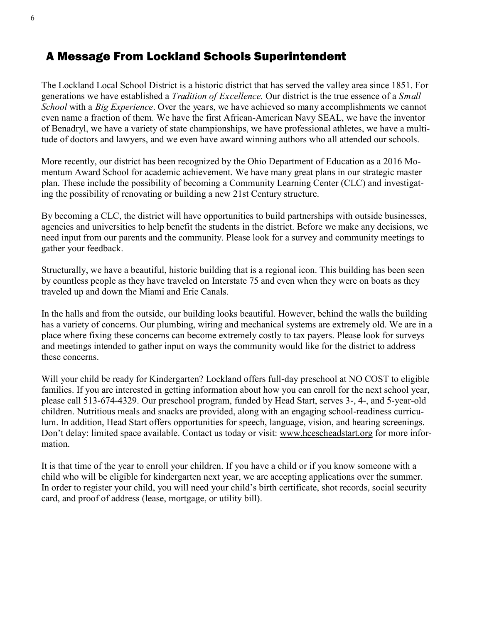## A Message From Lockland Schools Superintendent

The Lockland Local School District is a historic district that has served the valley area since 1851. For generations we have established a *Tradition of Excellence.* Our district is the true essence of a *Small School* with a *Big Experience*. Over the years, we have achieved so many accomplishments we cannot even name a fraction of them. We have the first African-American Navy SEAL, we have the inventor of Benadryl, we have a variety of state championships, we have professional athletes, we have a multitude of doctors and lawyers, and we even have award winning authors who all attended our schools.

More recently, our district has been recognized by the Ohio Department of Education as a 2016 Momentum Award School for academic achievement. We have many great plans in our strategic master plan. These include the possibility of becoming a Community Learning Center (CLC) and investigating the possibility of renovating or building a new 21st Century structure.

By becoming a CLC, the district will have opportunities to build partnerships with outside businesses, agencies and universities to help benefit the students in the district. Before we make any decisions, we need input from our parents and the community. Please look for a survey and community meetings to gather your feedback.

Structurally, we have a beautiful, historic building that is a regional icon. This building has been seen by countless people as they have traveled on Interstate 75 and even when they were on boats as they traveled up and down the Miami and Erie Canals.

In the halls and from the outside, our building looks beautiful. However, behind the walls the building has a variety of concerns. Our plumbing, wiring and mechanical systems are extremely old. We are in a place where fixing these concerns can become extremely costly to tax payers. Please look for surveys and meetings intended to gather input on ways the community would like for the district to address these concerns.

Will your child be ready for Kindergarten? Lockland offers full-day preschool at NO COST to eligible families. If you are interested in getting information about how you can enroll for the next school year, please call 513-674-4329. Our preschool program, funded by Head Start, serves 3-, 4-, and 5-year-old children. Nutritious meals and snacks are provided, along with an engaging school-readiness curriculum. In addition, Head Start offers opportunities for speech, language, vision, and hearing screenings. Don't delay: limited space available. Contact us today or visit: [www.hcescheadstart.org](http://www.hcescheadstart.org) for more information.

It is that time of the year to enroll your children. If you have a child or if you know someone with a child who will be eligible for kindergarten next year, we are accepting applications over the summer. In order to register your child, you will need your child's birth certificate, shot records, social security card, and proof of address (lease, mortgage, or utility bill).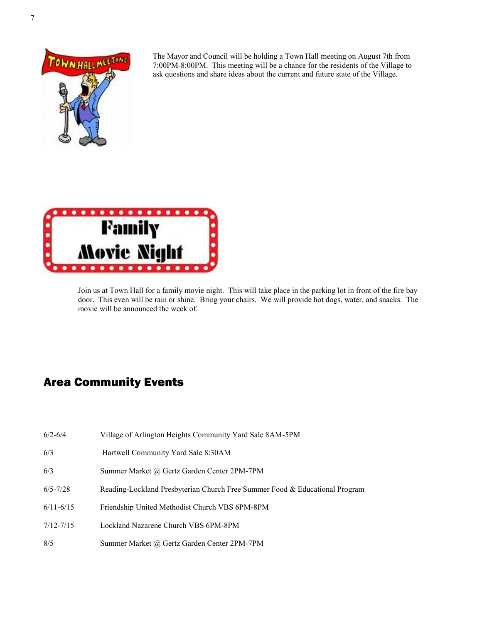

The Mayor and Council will be holding a Town Hall meeting on August 7th from 7:00PM-8:00PM. This meeting will be a chance for the residents of the Village to ask questions and share ideas about the current and future state of the Village.



Join us at Town Hall for a family movie night. This will take place in the parking lot in front of the fire bay door. This even will be rain or shine. Bring your chairs. We will provide hot dogs, water, and snacks. The movie will be announced the week of.

# Area Community Events

- 6/2-6/4 Village of Arlington Heights Community Yard Sale 8AM-5PM
- 6/3 Hartwell Community Yard Sale 8:30AM
- 6/3 Summer Market @ Gertz Garden Center 2PM-7PM
- 6/5-7/28 Reading-Lockland Presbyterian Church Free Summer Food & Educational Program
- 6/11-6/15 Friendship United Methodist Church VBS 6PM-8PM
- 7/12-7/15 Lockland Nazarene Church VBS 6PM-8PM
- 8/5 Summer Market @ Gertz Garden Center 2PM-7PM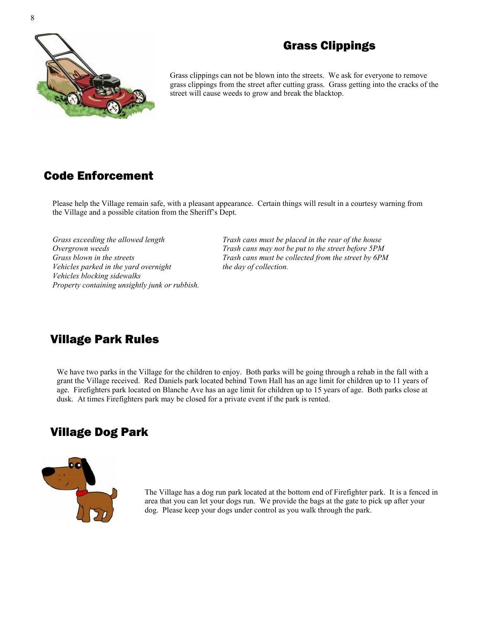

# Grass Clippings

Grass clippings can not be blown into the streets. We ask for everyone to remove grass clippings from the street after cutting grass. Grass getting into the cracks of the street will cause weeds to grow and break the blacktop.

# Code Enforcement

Please help the Village remain safe, with a pleasant appearance. Certain things will result in a courtesy warning from the Village and a possible citation from the Sheriff's Dept.

*Vehicles parked in the yard overnight the day of collection. Vehicles blocking sidewalks Property containing unsightly junk or rubbish.*

*Grass exceeding the allowed length Trash cans must be placed in the rear of the house Overgrown weeds Trash cans may not be put to the street before 5PM Grass blown in the streets Trash cans must be collected from the street by 6PM*

# Village Park Rules

We have two parks in the Village for the children to enjoy. Both parks will be going through a rehab in the fall with a grant the Village received. Red Daniels park located behind Town Hall has an age limit for children up to 11 years of age. Firefighters park located on Blanche Ave has an age limit for children up to 15 years of age. Both parks close at dusk. At times Firefighters park may be closed for a private event if the park is rented.

## Village Dog Park



The Village has a dog run park located at the bottom end of Firefighter park. It is a fenced in area that you can let your dogs run. We provide the bags at the gate to pick up after your dog. Please keep your dogs under control as you walk through the park.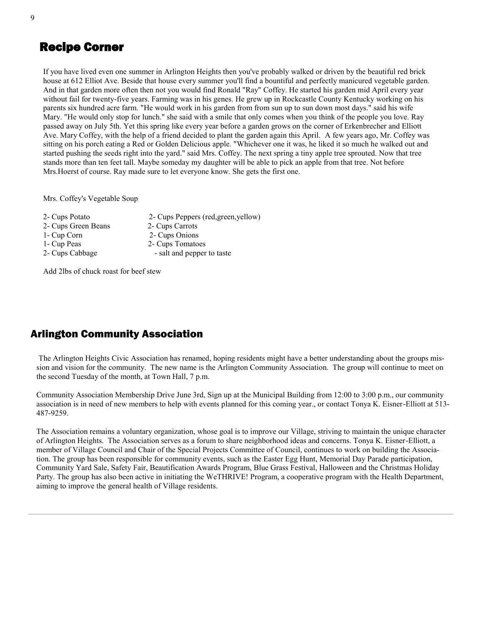## Recipe Corner

If you have lived even one summer in Arlington Heights then you've probably walked or driven by the beautiful red brick house at 612 Elliot Ave. Beside that house every summer you'll find a bountiful and perfectly manicured vegetable garden. And in that garden more often then not you would find Ronald "Ray" Coffey. He started his garden mid April every year without fail for twenty-five years. Farming was in his genes. He grew up in Rockcastle County Kentucky working on his parents six hundred acre farm. "He would work in his garden from from sun up to sun down most days." said his wife Mary. "He would only stop for lunch." she said with a smile that only comes when you think of the people you love. Ray passed away on July 5th. Yet this spring like every year before a garden grows on the corner of Erkenbrecher and Elliott Ave. Mary Coffey, with the help of a friend decided to plant the garden again this April. A few years ago, Mr. Coffey was sitting on his porch eating a Red or Golden Delicious apple. "Whichever one it was, he liked it so much he walked out and started pushing the seeds right into the yard." said Mrs. Coffey. The next spring a tiny apple tree sprouted. Now that tree stands more than ten feet tall. Maybe someday my daughter will be able to pick an apple from that tree. Not before Mrs.Hoerst of course. Ray made sure to let everyone know. She gets the first one.

Mrs. Coffey's Vegetable Soup

2- Cups Potato 2- Cups Peppers (red,green,yellow) 2- Cups Green Beans 2- Cups Carrots 1- Cup Corn 2- Cups Onions 1- Cup Peas 2- Cups Tomatoes 2- Cups Cabbage - salt and pepper to taste

Add 2lbs of chuck roast for beef stew

### Arlington Community Association

The Arlington Heights Civic Association has renamed, hoping residents might have a better understanding about the groups mission and vision for the community. The new name is the Arlington Community Association. The group will continue to meet on the second Tuesday of the month, at Town Hall, 7 p.m.

Community Association Membership Drive June 3rd, Sign up at the Municipal Building from 12:00 to 3:00 p.m., our community association is in need of new members to help with events planned for this coming year., or contact Tonya K. Eisner-Elliott at 513- 487-9259.

The Association remains a voluntary organization, whose goal is to improve our Village, striving to maintain the unique character of Arlington Heights. The Association serves as a forum to share neighborhood ideas and concerns. Tonya K. Eisner-Elliott, a member of Village Council and Chair of the Special Projects Committee of Council, continues to work on building the Association. The group has been responsible for community events, such as the Easter Egg Hunt, Memorial Day Parade participation, Community Yard Sale, Safety Fair, Beautification Awards Program, Blue Grass Festival, Halloween and the Christmas Holiday Party. The group has also been active in initiating the WeTHRIVE! Program, a cooperative program with the Health Department, aiming to improve the general health of Village residents.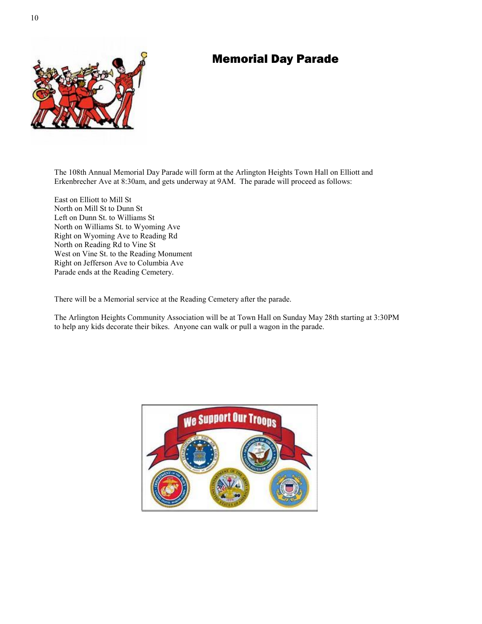## Memorial Day Parade



The 108th Annual Memorial Day Parade will form at the Arlington Heights Town Hall on Elliott and Erkenbrecher Ave at 8:30am, and gets underway at 9AM. The parade will proceed as follows:

East on Elliott to Mill St North on Mill St to Dunn St Left on Dunn St. to Williams St North on Williams St. to Wyoming Ave Right on Wyoming Ave to Reading Rd North on Reading Rd to Vine St West on Vine St. to the Reading Monument Right on Jefferson Ave to Columbia Ave Parade ends at the Reading Cemetery.

There will be a Memorial service at the Reading Cemetery after the parade.

The Arlington Heights Community Association will be at Town Hall on Sunday May 28th starting at 3:30PM to help any kids decorate their bikes. Anyone can walk or pull a wagon in the parade.

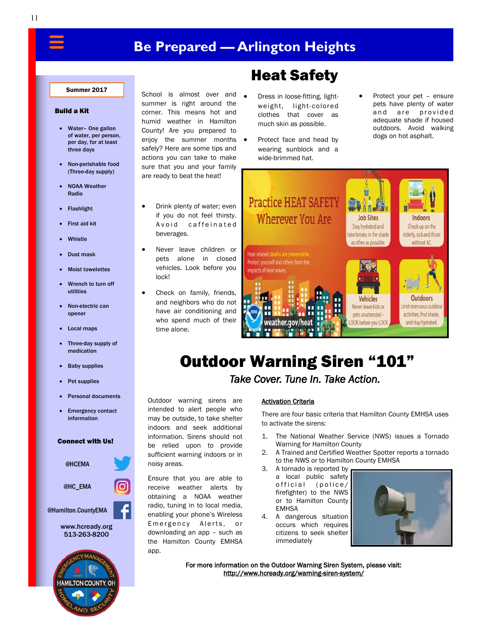# **Be Prepared — Arlington Heights**

#### Summer 2017

#### Build a Kit

- Water– One gallon of water, per person, per day, for at least three days
- Non-perishable food (Three-day supply)
- NOAA Weather Radio
- Flashlight
- First aid kit
- **Whistle**
- Dust mask
- Moist towelettes
- Wrench to turn off utilities
- Non-electric can opener
- Local maps
- Three-day supply of medication
- Baby supplies
- Pet supplies
- Personal documents
- Emergency contact information

#### Connect with Us!



School is almost over and summer is right around the corner. This means hot and humid weather in Hamilton County! Are you prepared to enjoy the summer months safely? Here are some tips and actions you can take to make sure that you and your family are ready to beat the heat!

- Drink plenty of water; even if you do not feel thirsty. Avoid caffeinated beverages.
- Never leave children or pets alone in closed vehicles. Look before you lock!
- Check on family, friends, and neighbors who do not have air conditioning and who spend much of their time alone.

Outdoor warning sirens are intended to alert people who may be outside, to take shelter indoors and seek additional information. Sirens should not be relied upon to provide sufficient warning indoors or in

Ensure that you are able to receive weather alerts by obtaining a NOAA weather radio, tuning in to local media, enabling your phone's Wireless Emergency Alerts, or downloading an app – such as the Hamilton County EMHSA

noisy areas.

app.

# Heat Safety

- Dress in loose-fitting, lightweight, light-colored clothes that cover as much skin as possible.
- Protect face and head by wearing sunblock and a wide-brimmed hat.
- Protect your pet ensure pets have plenty of water and are provided adequate shade if housed outdoors. Avoid walking dogs on hot asphalt.



# Outdoor Warning Siren "101"

*Take Cover. Tune In. Take Action.* 

#### Activation Criteria

There are four basic criteria that Hamilton County EMHSA uses to activate the sirens:

- 1. The National Weather Service (NWS) issues a Tornado Warning for Hamilton County
- 2. A Trained and Certified Weather Spotter reports a tornado to the NWS or to Hamilton County EMHSA
- 3. A tornado is reported by a local public safety official (police/ firefighter) to the NWS or to Hamilton County EMHSA
- 4. A dangerous situation occurs which requires citizens to seek shelter immediately



For more information on the Outdoor Warning Siren System, please visit: [http://www.hcready.org/warning-siren-system/](http://www.hamiltoncountyohioema.org/warning-siren-system/)